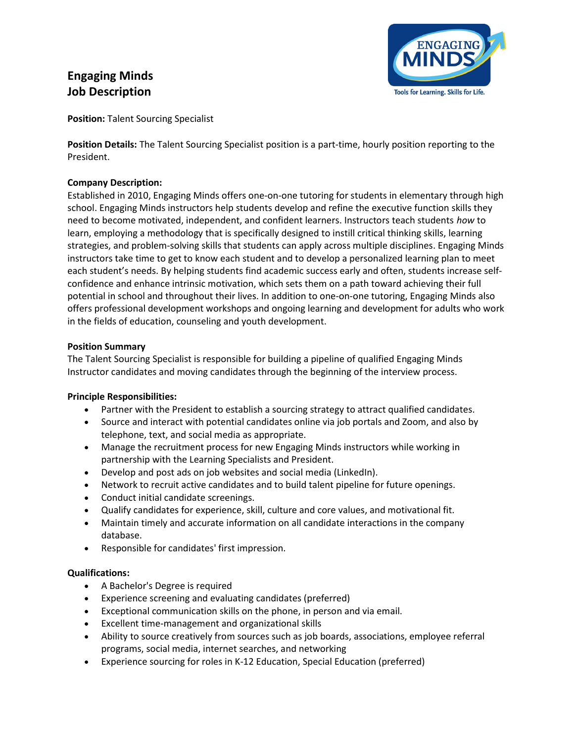# Engaging Minds Job Description



Position: Talent Sourcing Specialist

Position Details: The Talent Sourcing Specialist position is a part-time, hourly position reporting to the President.

## Company Description:

Established in 2010, Engaging Minds offers one-on-one tutoring for students in elementary through high school. Engaging Minds instructors help students develop and refine the executive function skills they need to become motivated, independent, and confident learners. Instructors teach students how to learn, employing a methodology that is specifically designed to instill critical thinking skills, learning strategies, and problem-solving skills that students can apply across multiple disciplines. Engaging Minds instructors take time to get to know each student and to develop a personalized learning plan to meet each student's needs. By helping students find academic success early and often, students increase selfconfidence and enhance intrinsic motivation, which sets them on a path toward achieving their full potential in school and throughout their lives. In addition to one-on-one tutoring, Engaging Minds also offers professional development workshops and ongoing learning and development for adults who work in the fields of education, counseling and youth development.

## Position Summary

The Talent Sourcing Specialist is responsible for building a pipeline of qualified Engaging Minds Instructor candidates and moving candidates through the beginning of the interview process.

#### Principle Responsibilities:

- Partner with the President to establish a sourcing strategy to attract qualified candidates.
- Source and interact with potential candidates online via job portals and Zoom, and also by telephone, text, and social media as appropriate.
- Manage the recruitment process for new Engaging Minds instructors while working in partnership with the Learning Specialists and President.
- Develop and post ads on job websites and social media (LinkedIn).
- Network to recruit active candidates and to build talent pipeline for future openings.
- Conduct initial candidate screenings.
- Qualify candidates for experience, skill, culture and core values, and motivational fit.
- Maintain timely and accurate information on all candidate interactions in the company database.
- Responsible for candidates' first impression.

#### Qualifications:

- A Bachelor's Degree is required
- Experience screening and evaluating candidates (preferred)
- Exceptional communication skills on the phone, in person and via email.
- Excellent time-management and organizational skills
- Ability to source creatively from sources such as job boards, associations, employee referral programs, social media, internet searches, and networking
- Experience sourcing for roles in K-12 Education, Special Education (preferred)